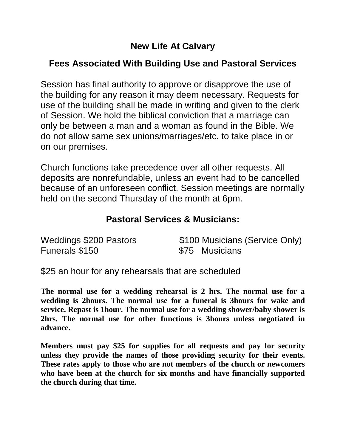# **New Life At Calvary**

# **Fees Associated With Building Use and Pastoral Services**

Session has final authority to approve or disapprove the use of the building for any reason it may deem necessary. Requests for use of the building shall be made in writing and given to the clerk of Session. We hold the biblical conviction that a marriage can only be between a man and a woman as found in the Bible. We do not allow same sex unions/marriages/etc. to take place in or on our premises.

Church functions take precedence over all other requests. All deposits are nonrefundable, unless an event had to be cancelled because of an unforeseen conflict. Session meetings are normally held on the second Thursday of the month at 6pm.

#### **Pastoral Services & Musicians:**

| <b>Weddings \$200 Pastors</b> | \$100 Musicians (Service Only) |
|-------------------------------|--------------------------------|
| Funerals \$150                | \$75 Musicians                 |

\$25 an hour for any rehearsals that are scheduled

**The normal use for a wedding rehearsal is 2 hrs. The normal use for a wedding is 2hours. The normal use for a funeral is 3hours for wake and service. Repast is 1hour. The normal use for a wedding shower/baby shower is 2hrs. The normal use for other functions is 3hours unless negotiated in advance.**

**Members must pay \$25 for supplies for all requests and pay for security unless they provide the names of those providing security for their events. These rates apply to those who are not members of the church or newcomers who have been at the church for six months and have financially supported the church during that time.**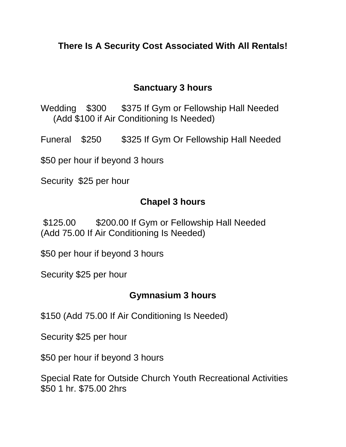## **There Is A Security Cost Associated With All Rentals!**

#### **Sanctuary 3 hours**

Wedding \$300 \$375 If Gym or Fellowship Hall Needed (Add \$100 if Air Conditioning Is Needed)

Funeral \$250 \$325 If Gym Or Fellowship Hall Needed

\$50 per hour if beyond 3 hours

Security \$25 per hour

#### **Chapel 3 hours**

\$125.00 \$200.00 If Gym or Fellowship Hall Needed (Add 75.00 If Air Conditioning Is Needed)

\$50 per hour if beyond 3 hours

Security \$25 per hour

## **Gymnasium 3 hours**

\$150 (Add 75.00 If Air Conditioning Is Needed)

Security \$25 per hour

\$50 per hour if beyond 3 hours

Special Rate for Outside Church Youth Recreational Activities \$50 1 hr. \$75.00 2hrs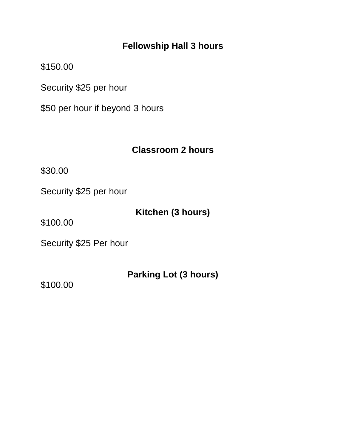## **Fellowship Hall 3 hours**

\$150.00

Security \$25 per hour

\$50 per hour if beyond 3 hours

#### **Classroom 2 hours**

\$30.00

Security \$25 per hour

# **Kitchen (3 hours)**

\$100.00

Security \$25 Per hour

## **Parking Lot (3 hours)**

\$100.00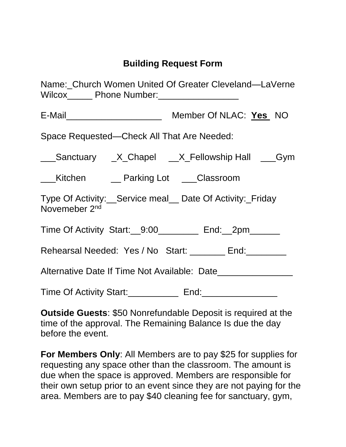# **Building Request Form**

| Name: Church Women United Of Greater Cleveland—LaVerne                               |  |  |
|--------------------------------------------------------------------------------------|--|--|
|                                                                                      |  |  |
| Space Requested-Check All That Are Needed:                                           |  |  |
| ___Sanctuary _X_Chapel __X_Fellowship Hall ___Gym                                    |  |  |
| ___Kitchen ____ Parking Lot ____Classroom                                            |  |  |
| Type Of Activity: Service meal Date Of Activity: Friday<br>Novemeber 2 <sup>nd</sup> |  |  |
| Time Of Activity Start: 9:00 ________ End: 2pm_____                                  |  |  |
| Rehearsal Needed: Yes / No Start: _______ End: _______                               |  |  |
|                                                                                      |  |  |
|                                                                                      |  |  |

**Outside Guests**: \$50 Nonrefundable Deposit is required at the time of the approval. The Remaining Balance Is due the day before the event.

**For Members Only**: All Members are to pay \$25 for supplies for requesting any space other than the classroom. The amount is due when the space is approved. Members are responsible for their own setup prior to an event since they are not paying for the area. Members are to pay \$40 cleaning fee for sanctuary, gym,